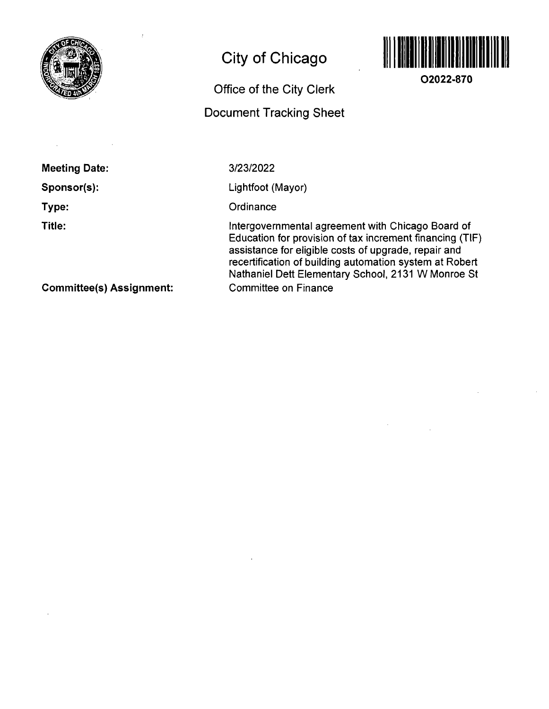

# **City of Chicago**



**O2022-870** 

# **Office of the City Clerk Document Tracking Sheet**

**Meeting Date: Sponsor(s):** 

**Type:** 

**Title:** 

3/23/2022

Lightfoot (Mayor)

**Ordinance** 

Intergovernmental agreemenf with Chicago Board of Education for provision of tax increment financing (TIF) assistance for eligible costs of upgrade, repair and recertification of building automation system at Robert Nathaniel Deff Elementary School, 2131 W Monroe St Committee on Finance

**Committee(s) Assignment:**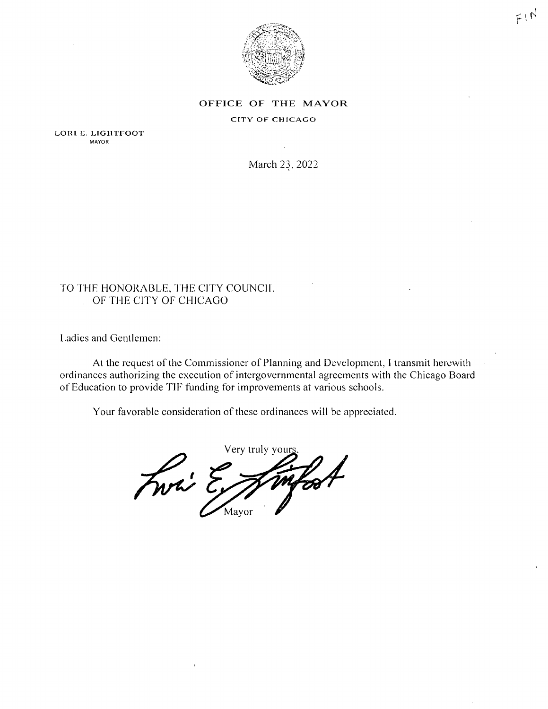

### OFFICE OF THE MAYOR

# CITY OF CHICAGO

LORI E. LIGHTFOOT **MAYOR** 

March 23, 2022

# TO THE HONORABLE, THE CITY COUNCIL OF THE CITY OF CHICAGO

Ladies and Gentlemen:

At the request of the Commissioner of Planning and Development, I transmit herewith ordinances authorizing the execution of intergovernmental agreements with the Chicago Board of Education to provide TIF funding for improvements at various schools.

Your favorable consideration of these ordinances will be appreciated.

Very truly your Front E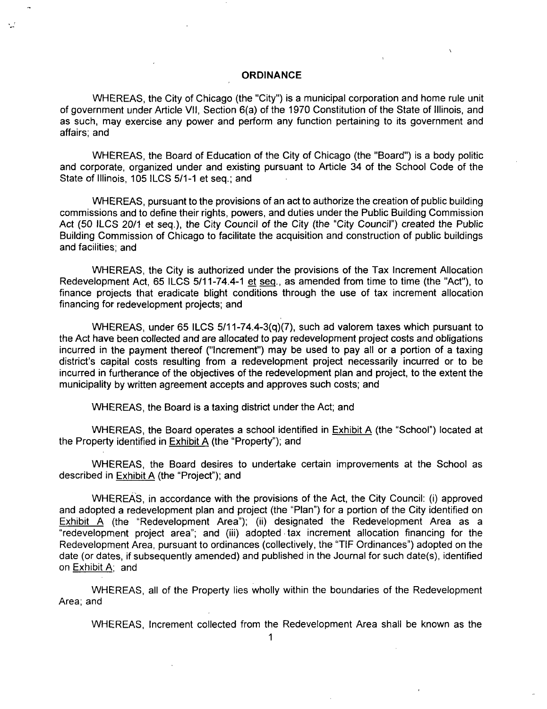#### **ORDINANCE**

V

WHEREAS, the City of Chicago (the "City") is a municipal corporation and home rule unit of government under Article VII, Section 6(a) of the 1970 Constitution of the State of Illinois, and as such, may exercise any power and perform any function pertaining to its government and affairs; and

WHEREAS, the Board of Education of the City of Chicago (the "Board") is a body politic and corporate, organized under and existing pursuant to Article 34 of the School Code of the State of Illinois, 105 ILCS 5/1-1 et seq.; and

WHEREAS, pursuant to the provisions of an act to authorize the creation of public building commissions and to define their rights, powers, and duties underthe Public Building Commission Act (50 ILCS 20/1 et seq.), the City Council of the City (the "City Council") created the Public Building Commission of Chicago to facilitate the acquisition and construction of public buildings and facilities; and

WHEREAS, the City is authorized under the provisions of the Tax Increment Allocation Redevelopment Act, 65 ILCS 5/11-74.4-1 et seq., as amended from time to time (the "Act"), to finance projects that eradicate blight conditions through the use of tax increment allocation financing for redevelopment projects; and

WHEREAS, under 65 ILCS 5/11-74.4-3(q)(7), such ad valorem taxes which pursuant to the Act have been collected and are allocated to pay redevelopment project costs and obligations incurred in the payment thereof ("Increment") may be used to pay all or a portion of a taxing district's capital costs resulting from a redevelopment project necessarily incurred or to be incurred in furtherance of the objectives of the redevelopment plan and project, to the extent the municipality by written agreement accepts and approves such costs; and

WHEREAS, the Board is a taxing district under the Act; and

WHEREAS, the Board operates a school identified in Exhibit A (the "School") located at the Property identified in Exhibit A (the "Property"); and

WHEREAS, the Board desires to undertake certain improvements at the School as described in Exhibit A (the "Project"); and

WHEREAS, in accordance with the provisions of the Act, the City Council: (i) approved and adopted a redevelopment plan and project (the "Plan") for a portion of the City identified on Exhibit A (the "Redevelopment Area"); (ii) designated the Redevelopment Area as a "redevelopment project area"; and (iii) adopted tax increment allocation financing for the Redevelopment Area, pursuant to ordinances (collectively, the "TIF Ordinances") adopted on the date (or dates, if subsequently amended) and published in the Journal for such date(s), identified on Exhibit A: and

WHEREAS, all of the Property lies wholly within the boundaries of the Redevelopment Area; and

WHEREAS, Increment collected from the Redevelopment Area shall be known as the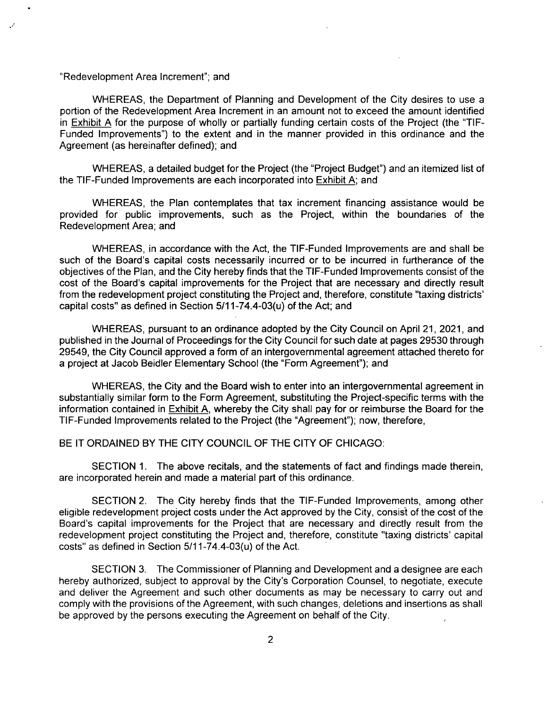### "Redevelopment Area Increment"; and

WHEREAS, the Department of Planning and Development of the City desires to use a portion of the Redevelopment Area Increment in an amount not to exceed the amount identified in Exhibit A for the purpose of wholly or partially funding certain costs of the Project (the "TIF-Funded Improvements") to the extent and in the manner provided in this ordinance and the Agreement (as hereinafter defined); and

WHEREAS, a detailed budget for the Project (the "Project Budget") and an itemized list of the TIF-Funded Improvements are each incorporated into Exhibit A; and

WHEREAS, the Plan contemplates that tax increment financing assistance would be provided for public improvements, such as the Project, within the boundaries of the Redevelopment Area; and

WHEREAS, in accordance with the Act, the TIF-Funded Improvements are and shall be such of the Board's capital costs necessarily incurred or to be incurred in furtherance of the objectives of the Plan, and the City hereby finds that the TIF-Funded Improvements consist of the cost of the Board's capital improvements for the Project that are necessary and directly result from the redevelopment project constituting the Project and, therefore, constitute "taxing districts' capital costs" as defined in Section  $5/11-74.4-03(u)$  of the Act; and

WHEREAS, pursuant to an ordinance adopted by the City Council on April 21, 2021, and published in the Journal of Proceedings for the City Council for such date at pages 29530 through 29549, the City Council approved a form of an intergovernmental agreement attached thereto for a project at Jacob Beidler Elementary School (the "Form Agreement"); and

WHEREAS, the City and the Board wish to enter into an intergovernmental agreement in substantially similar form to the Form Agreement, substituting the Project-specific terms with the information contained in Exhibit A. whereby the City shall pay for or reimburse the Board for the TIF-Funded Improvements related to the Project (the "Agreement"); now, therefore,

# BE IT ORDAINED BY THE CITY COUNCIL OF THE CITY OF CHICAGO:

SECTION 1. The above recitals, and the statements of fact and findings made therein, are incorporated herein and made a material part of this ordinance.

SECTION 2. The City hereby finds that the TIF-Funded Improvements, among other eligible redevelopment project costs under the Act approved by the City, consist of the cost of the Board's capital improvements for the Project that are necessary and directly result from the redevelopment project constituting the Project and, therefore, constitute "taxing districts' capital costs" as defined in Section  $5/11-74.4-03(u)$  of the Act.

SECTION 3. The Commissioner of Planning and Development and a designee are each hereby authorized, subject to approval by the City's Corporation Counsel, to negotiate, execute and deliver the Agreement and such other documents as may be necessary to carry out and comply with the provisions of the Agreement, with such changes, deletions and insertions as shall be approved by the persons executing the Agreement on behalf of the City.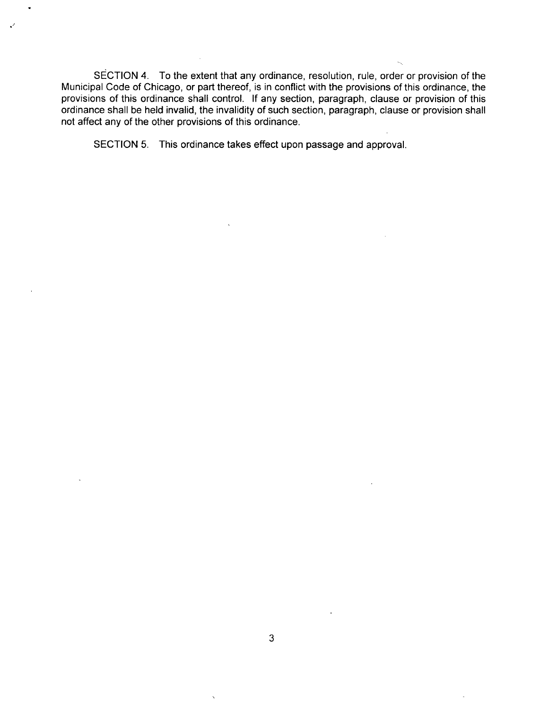SECTION 4. To the extent that any ordinance, resolution, rule, order or provision of the Municipal Code of Chicago, or part thereof, is in conflict with the provisions ofthis ordinance, the provisions of this ordinance shall control. If any section, paragraph, clause or provision of this ordinance shall be held invalid, the invalidity of such section, paragraph, clause or provision shall not affect any of the other provisions of this ordinance.

SECTION 5. This ordinance takes effect upon passage and approval.